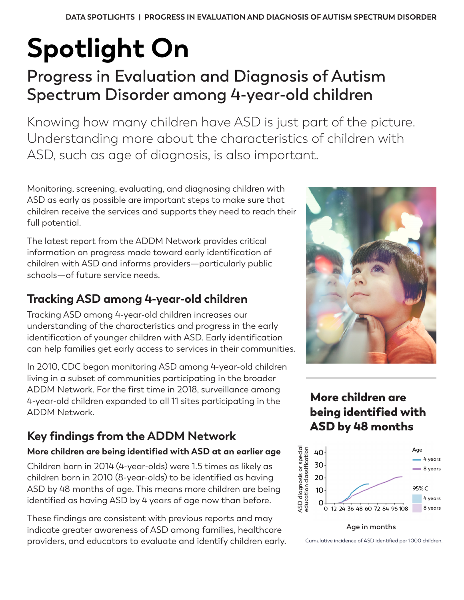# **Spotlight On**

## **Progress in Evaluation and Diagnosis of Autism Spectrum Disorder among 4-year-old children**

Knowing how many children have ASD is just part of the picture. Understanding more about the characteristics of children with ASD, such as age of diagnosis, is also important.

Monitoring, screening, evaluating, and diagnosing children with ASD as early as possible are important steps to make sure that children receive the services and supports they need to reach their full potential.

The latest report from the ADDM Network provides critical information on progress made toward early identification of children with ASD and informs providers—particularly public schools—of future service needs.

## **Tracking ASD among 4-year-old children**

Tracking ASD among 4-year-old children increases our understanding of the characteristics and progress in the early identification of younger children with ASD. Early identification can help families get early access to services in their communities.

In 2010, CDC began monitoring ASD among 4-year-old children living in a subset of communities participating in the broader ADDM Network. For the first time in 2018, surveillance among 4-year-old children expanded to all 11 sites participating in the ADDM Network.

## **Key findings from the ADDM Network**

#### **More children are being identified with ASD at an earlier age**

Children born in 2014 (4-year-olds) were 1.5 times as likely as children born in 2010 (8-year-olds) to be identified as having ASD by 48 months of age. This means more children are being identified as having ASD by 4 years of age now than before.

These findings are consistent with previous reports and may indicate greater awareness of ASD among families, healthcare providers, and educators to evaluate and identify children early.



More children are being identified with ASD by 48 months



**Age in months**

Cumulative incidence of ASD identified per 1000 children.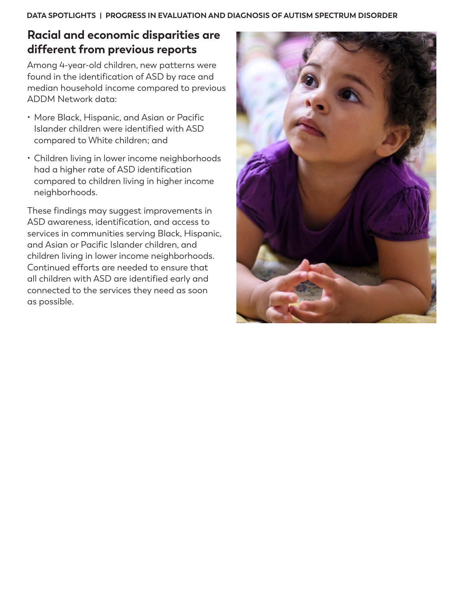**DATA SPOTLIGHTS | PROGRESS IN EVALUATION AND DIAGNOSIS OF AUTISM SPECTRUM DISORDER**

### **Racial and economic disparities are different from previous reports**

Among 4-year-old children, new patterns were found in the identification of ASD by race and median household income compared to previous ADDM Network data:

- More Black, Hispanic, and Asian or Pacific Islander children were identified with ASD compared to White children; and
- Children living in lower income neighborhoods had a higher rate of ASD identification compared to children living in higher income neighborhoods.

These findings may suggest improvements in ASD awareness, identification, and access to services in communities serving Black, Hispanic, and Asian or Pacific Islander children, and children living in lower income neighborhoods. Continued efforts are needed to ensure that all children with ASD are identified early and connected to the services they need as soon as possible.